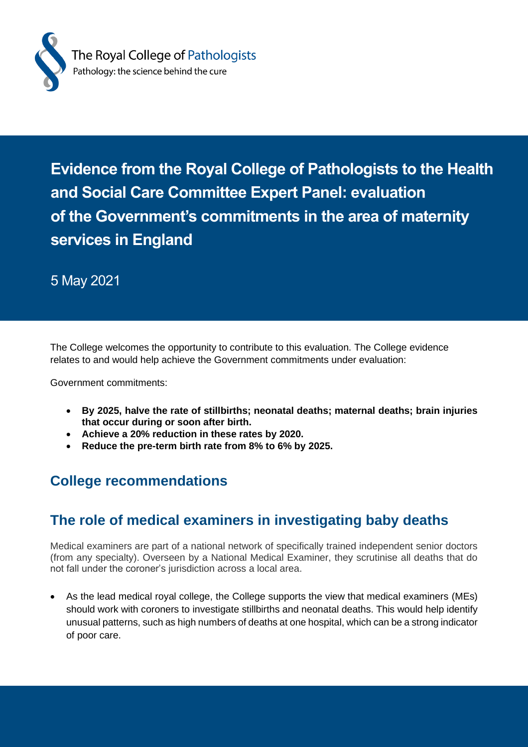

**Evidence from the Royal College of Pathologists to the Health and Social Care Committee Expert Panel: evaluation of the Government's commitments in the area of maternity services in England**

5 May 2021

The College welcomes the opportunity to contribute to this evaluation. The College evidence relates to and would help achieve the Government commitments under evaluation:

Government commitments:

- **By 2025, halve the rate of stillbirths; neonatal deaths; maternal deaths; brain injuries that occur during or soon after birth.**
- **Achieve a 20% reduction in these rates by 2020.**
- **Reduce the pre-term birth rate from 8% to 6% by 2025.**

#### **College recommendations**

#### **The role of medical examiners in investigating baby deaths**

Medical examiners are part of a national network of specifically trained independent senior doctors (from any specialty). Overseen by a National Medical Examiner, they scrutinise all deaths that do not fall under the coroner's jurisdiction across a local area.

• As the lead medical royal college, the College supports the view that medical examiners (MEs) should work with coroners to investigate stillbirths and neonatal deaths. This would help identify unusual patterns, such as high numbers of deaths at one hospital, which can be a strong indicator of poor care.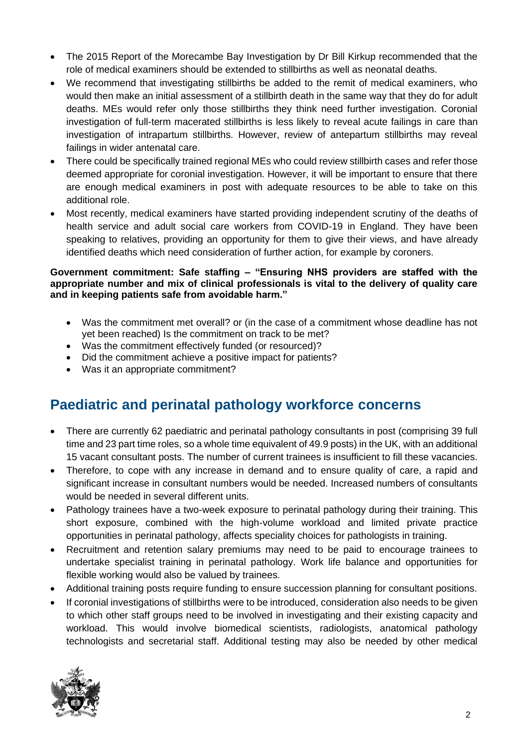- The 2015 Report of the Morecambe Bay Investigation by Dr Bill Kirkup recommended that the role of medical examiners should be extended to stillbirths as well as neonatal deaths.
- We recommend that investigating stillbirths be added to the remit of medical examiners, who would then make an initial assessment of a stillbirth death in the same way that they do for adult deaths. MEs would refer only those stillbirths they think need further investigation. Coronial investigation of full-term macerated stillbirths is less likely to reveal acute failings in care than investigation of intrapartum stillbirths. However, review of antepartum stillbirths may reveal failings in wider antenatal care.
- There could be specifically trained regional MEs who could review stillbirth cases and refer those deemed appropriate for coronial investigation. However, it will be important to ensure that there are enough medical examiners in post with adequate resources to be able to take on this additional role.
- Most recently, medical examiners have started providing independent scrutiny of the deaths of health service and adult social care workers from COVID-19 in England. They have been speaking to relatives, providing an opportunity for them to give their views, and have already identified deaths which need consideration of further action, for example by coroners.

#### **Government commitment: Safe staffing – "Ensuring NHS providers are staffed with the appropriate number and mix of clinical professionals is vital to the delivery of quality care and in keeping patients safe from avoidable harm."**

- Was the commitment met overall? or (in the case of a commitment whose deadline has not yet been reached) Is the commitment on track to be met?
- Was the commitment effectively funded (or resourced)?
- Did the commitment achieve a positive impact for patients?
- Was it an appropriate commitment?

## **Paediatric and perinatal pathology workforce concerns**

- There are currently 62 paediatric and perinatal pathology consultants in post (comprising 39 full time and 23 part time roles, so a whole time equivalent of 49.9 posts) in the UK, with an additional 15 vacant consultant posts. The number of current trainees is insufficient to fill these vacancies.
- Therefore, to cope with any increase in demand and to ensure quality of care, a rapid and significant increase in consultant numbers would be needed. Increased numbers of consultants would be needed in several different units.
- Pathology trainees have a two-week exposure to perinatal pathology during their training. This short exposure, combined with the high-volume workload and limited private practice opportunities in perinatal pathology, affects speciality choices for pathologists in training.
- Recruitment and retention salary premiums may need to be paid to encourage trainees to undertake specialist training in perinatal pathology. Work life balance and opportunities for flexible working would also be valued by trainees.
- Additional training posts require funding to ensure succession planning for consultant positions.
- If coronial investigations of stillbirths were to be introduced, consideration also needs to be given to which other staff groups need to be involved in investigating and their existing capacity and workload. This would involve biomedical scientists, radiologists, anatomical pathology technologists and secretarial staff. Additional testing may also be needed by other medical

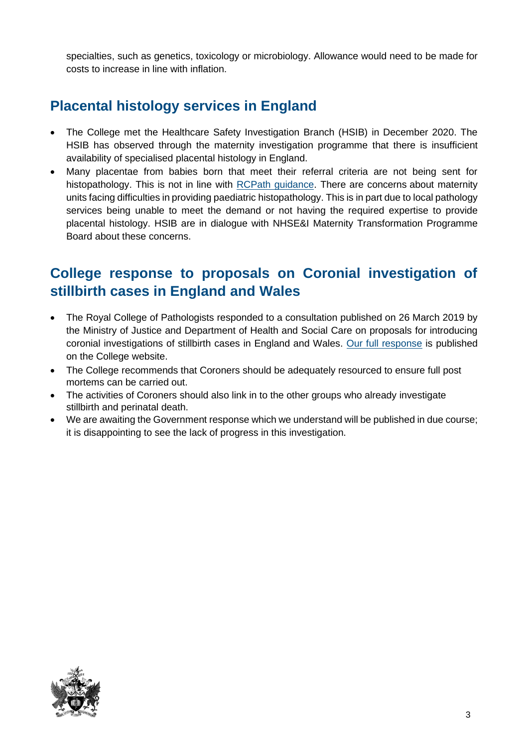specialties, such as genetics, toxicology or microbiology. Allowance would need to be made for costs to increase in line with inflation.

## **Placental histology services in England**

- The College met the Healthcare Safety Investigation Branch (HSIB) in December 2020. The HSIB has observed through the maternity investigation programme that there is insufficient availability of specialised placental histology in England.
- Many placentae from babies born that meet their referral criteria are not being sent for histopathology. This is not in line with [RCPath guidance.](https://www.rcpath.org/uploads/assets/ec614dfa-007c-4a93-8173cb202a071a72/G108-Tissue-pathway-for-histopathological-examination-of-the-placenta.pdf) There are concerns about maternity units facing difficulties in providing paediatric histopathology. This is in part due to local pathology services being unable to meet the demand or not having the required expertise to provide placental histology. HSIB are in dialogue with NHSE&I Maternity Transformation Programme Board about these concerns.

### **College response to proposals on Coronial investigation of stillbirth cases in England and Wales**

- The Royal College of Pathologists responded to a consultation published on 26 March 2019 by the Ministry of Justice and Department of Health and Social Care on proposals for introducing coronial investigations of stillbirth cases in England and Wales. [Our full response](https://www.rcpath.org/uploads/assets/4e1a7261-c350-44c7-bcfe0e5e9b0152ee/Consultation-on-coronial-investigations-of-stillbirths-June-2019.pdf) is published on the College website.
- The College recommends that Coroners should be adequately resourced to ensure full post mortems can be carried out.
- The activities of Coroners should also link in to the other groups who already investigate stillbirth and perinatal death.
- We are awaiting the Government response which we understand will be published in due course; it is disappointing to see the lack of progress in this investigation.